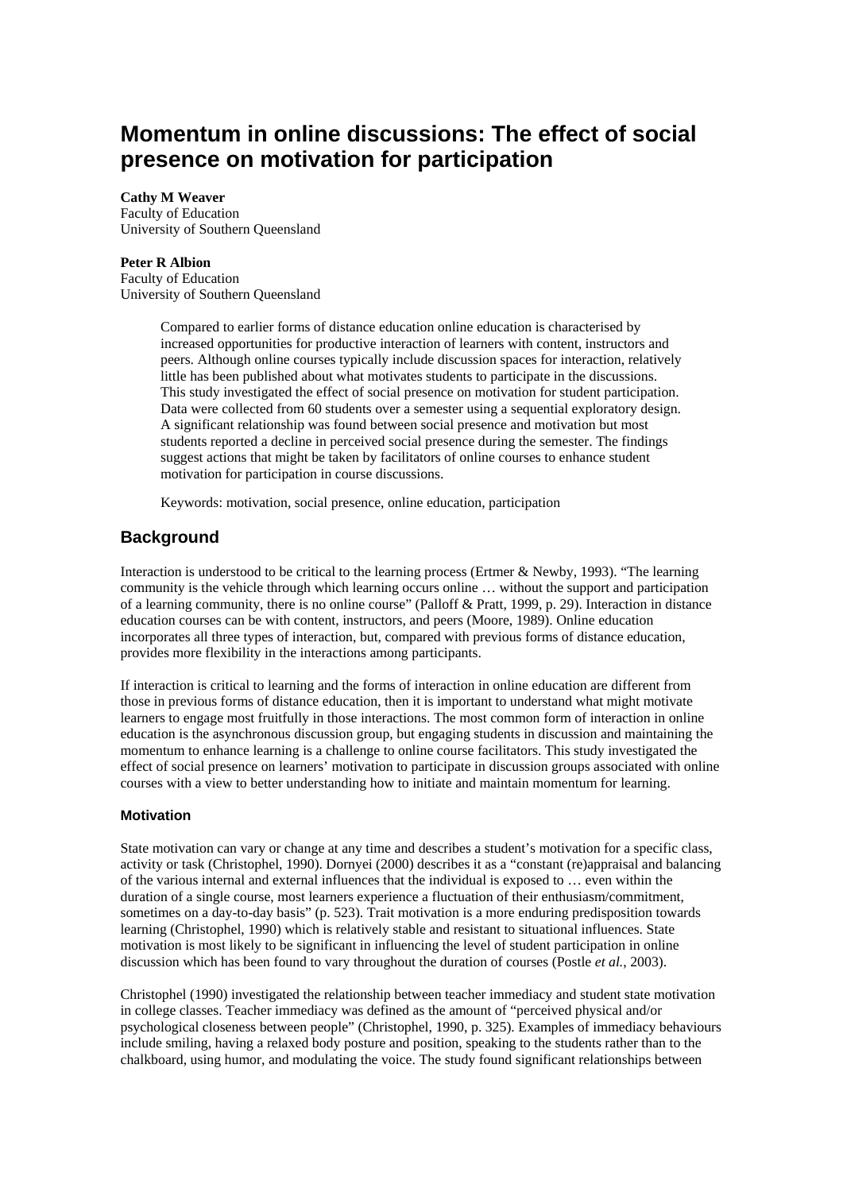# **Momentum in online discussions: The effect of social presence on motivation for participation**

#### **Cathy M Weaver**

Faculty of Education University of Southern Queensland

#### **Peter R Albion**

Faculty of Education University of Southern Queensland

> Compared to earlier forms of distance education online education is characterised by increased opportunities for productive interaction of learners with content, instructors and peers. Although online courses typically include discussion spaces for interaction, relatively little has been published about what motivates students to participate in the discussions. This study investigated the effect of social presence on motivation for student participation. Data were collected from 60 students over a semester using a sequential exploratory design. A significant relationship was found between social presence and motivation but most students reported a decline in perceived social presence during the semester. The findings suggest actions that might be taken by facilitators of online courses to enhance student motivation for participation in course discussions.

Keywords: motivation, social presence, online education, participation

# **Background**

Interaction is understood to be critical to the learning process (Ertmer & Newby, 1993). "The learning community is the vehicle through which learning occurs online … without the support and participation of a learning community, there is no online course" (Palloff & Pratt, 1999, p. 29). Interaction in distance education courses can be with content, instructors, and peers (Moore, 1989). Online education incorporates all three types of interaction, but, compared with previous forms of distance education, provides more flexibility in the interactions among participants.

If interaction is critical to learning and the forms of interaction in online education are different from those in previous forms of distance education, then it is important to understand what might motivate learners to engage most fruitfully in those interactions. The most common form of interaction in online education is the asynchronous discussion group, but engaging students in discussion and maintaining the momentum to enhance learning is a challenge to online course facilitators. This study investigated the effect of social presence on learners' motivation to participate in discussion groups associated with online courses with a view to better understanding how to initiate and maintain momentum for learning.

## **Motivation**

State motivation can vary or change at any time and describes a student's motivation for a specific class, activity or task (Christophel, 1990). Dornyei (2000) describes it as a "constant (re)appraisal and balancing of the various internal and external influences that the individual is exposed to … even within the duration of a single course, most learners experience a fluctuation of their enthusiasm/commitment, sometimes on a day-to-day basis" (p. 523). Trait motivation is a more enduring predisposition towards learning (Christophel, 1990) which is relatively stable and resistant to situational influences. State motivation is most likely to be significant in influencing the level of student participation in online discussion which has been found to vary throughout the duration of courses (Postle *et al.*, 2003).

Christophel (1990) investigated the relationship between teacher immediacy and student state motivation in college classes. Teacher immediacy was defined as the amount of "perceived physical and/or psychological closeness between people" (Christophel, 1990, p. 325). Examples of immediacy behaviours include smiling, having a relaxed body posture and position, speaking to the students rather than to the chalkboard, using humor, and modulating the voice. The study found significant relationships between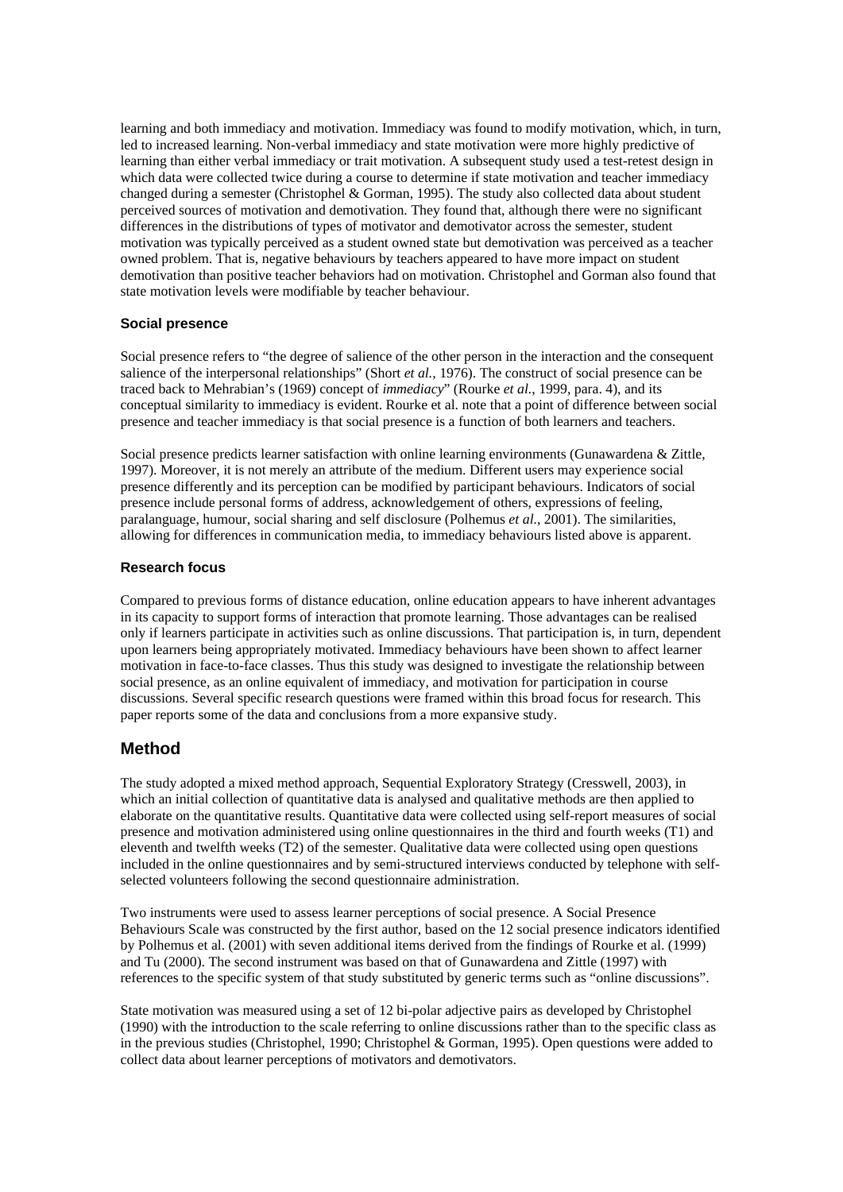learning and both immediacy and motivation. Immediacy was found to modify motivation, which, in turn, led to increased learning. Non-verbal immediacy and state motivation were more highly predictive of learning than either verbal immediacy or trait motivation. A subsequent study used a test-retest design in which data were collected twice during a course to determine if state motivation and teacher immediacy changed during a semester (Christophel & Gorman, 1995). The study also collected data about student perceived sources of motivation and demotivation. They found that, although there were no significant differences in the distributions of types of motivator and demotivator across the semester, student motivation was typically perceived as a student owned state but demotivation was perceived as a teacher owned problem. That is, negative behaviours by teachers appeared to have more impact on student demotivation than positive teacher behaviors had on motivation. Christophel and Gorman also found that state motivation levels were modifiable by teacher behaviour.

## **Social presence**

Social presence refers to "the degree of salience of the other person in the interaction and the consequent salience of the interpersonal relationships" (Short *et al.*, 1976). The construct of social presence can be traced back to Mehrabian's (1969) concept of *immediacy*" (Rourke *et al.*, 1999, para. 4), and its conceptual similarity to immediacy is evident. Rourke et al. note that a point of difference between social presence and teacher immediacy is that social presence is a function of both learners and teachers.

Social presence predicts learner satisfaction with online learning environments (Gunawardena & Zittle, 1997). Moreover, it is not merely an attribute of the medium. Different users may experience social presence differently and its perception can be modified by participant behaviours. Indicators of social presence include personal forms of address, acknowledgement of others, expressions of feeling, paralanguage, humour, social sharing and self disclosure (Polhemus *et al.*, 2001). The similarities, allowing for differences in communication media, to immediacy behaviours listed above is apparent.

#### **Research focus**

Compared to previous forms of distance education, online education appears to have inherent advantages in its capacity to support forms of interaction that promote learning. Those advantages can be realised only if learners participate in activities such as online discussions. That participation is, in turn, dependent upon learners being appropriately motivated. Immediacy behaviours have been shown to affect learner motivation in face-to-face classes. Thus this study was designed to investigate the relationship between social presence, as an online equivalent of immediacy, and motivation for participation in course discussions. Several specific research questions were framed within this broad focus for research. This paper reports some of the data and conclusions from a more expansive study.

## **Method**

The study adopted a mixed method approach, Sequential Exploratory Strategy (Cresswell, 2003), in which an initial collection of quantitative data is analysed and qualitative methods are then applied to elaborate on the quantitative results. Quantitative data were collected using self-report measures of social presence and motivation administered using online questionnaires in the third and fourth weeks (T1) and eleventh and twelfth weeks (T2) of the semester. Qualitative data were collected using open questions included in the online questionnaires and by semi-structured interviews conducted by telephone with selfselected volunteers following the second questionnaire administration.

Two instruments were used to assess learner perceptions of social presence. A Social Presence Behaviours Scale was constructed by the first author, based on the 12 social presence indicators identified by Polhemus et al. (2001) with seven additional items derived from the findings of Rourke et al. (1999) and Tu (2000). The second instrument was based on that of Gunawardena and Zittle (1997) with references to the specific system of that study substituted by generic terms such as "online discussions".

State motivation was measured using a set of 12 bi-polar adjective pairs as developed by Christophel (1990) with the introduction to the scale referring to online discussions rather than to the specific class as in the previous studies (Christophel, 1990; Christophel & Gorman, 1995). Open questions were added to collect data about learner perceptions of motivators and demotivators.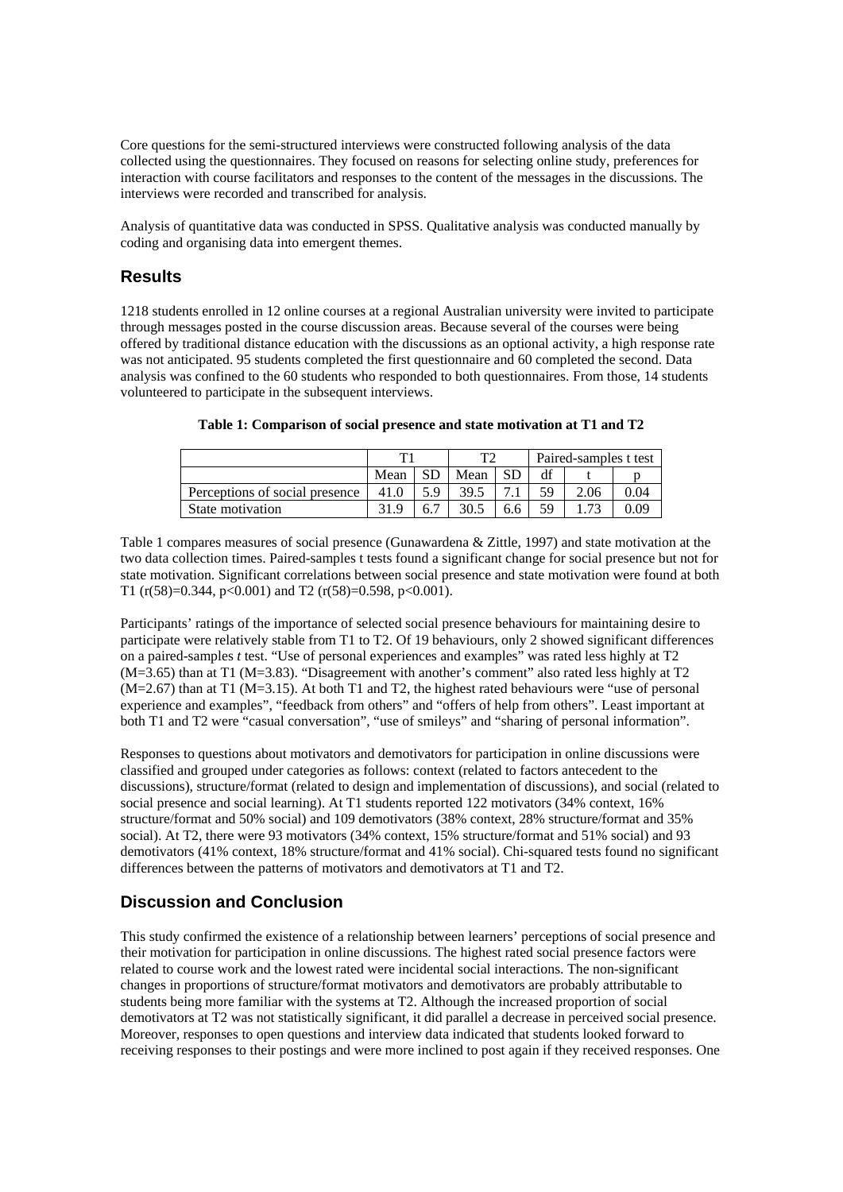Core questions for the semi-structured interviews were constructed following analysis of the data collected using the questionnaires. They focused on reasons for selecting online study, preferences for interaction with course facilitators and responses to the content of the messages in the discussions. The interviews were recorded and transcribed for analysis.

Analysis of quantitative data was conducted in SPSS. Qualitative analysis was conducted manually by coding and organising data into emergent themes.

# **Results**

1218 students enrolled in 12 online courses at a regional Australian university were invited to participate through messages posted in the course discussion areas. Because several of the courses were being offered by traditional distance education with the discussions as an optional activity, a high response rate was not anticipated. 95 students completed the first questionnaire and 60 completed the second. Data analysis was confined to the 60 students who responded to both questionnaires. From those, 14 students volunteered to participate in the subsequent interviews.

|                                |      |     | ma.  |           | Paired-samples t test |      |      |
|--------------------------------|------|-----|------|-----------|-----------------------|------|------|
|                                | Mean |     | Mean | <b>SD</b> |                       |      |      |
| Perceptions of social presence | 41 Q | 5.9 | 39.5 |           | 59                    | 2.06 | 0.04 |
| State motivation               |      | 6.′ | 30.5 | 6.6       | 59                    |      | 9.09 |

## **Table 1: Comparison of social presence and state motivation at T1 and T2**

Table 1 compares measures of social presence (Gunawardena & Zittle, 1997) and state motivation at the two data collection times. Paired-samples t tests found a significant change for social presence but not for state motivation. Significant correlations between social presence and state motivation were found at both T1 ( $r(58)=0.344$ ,  $p<0.001$ ) and T2 ( $r(58)=0.598$ ,  $p<0.001$ ).

Participants' ratings of the importance of selected social presence behaviours for maintaining desire to participate were relatively stable from T1 to T2. Of 19 behaviours, only 2 showed significant differences on a paired-samples *t* test. "Use of personal experiences and examples" was rated less highly at T2 (M=3.65) than at T1 (M=3.83). "Disagreement with another's comment" also rated less highly at T2  $(M=2.67)$  than at T1  $(M=3.15)$ . At both T1 and T2, the highest rated behaviours were "use of personal experience and examples", "feedback from others" and "offers of help from others". Least important at both T1 and T2 were "casual conversation", "use of smileys" and "sharing of personal information".

Responses to questions about motivators and demotivators for participation in online discussions were classified and grouped under categories as follows: context (related to factors antecedent to the discussions), structure/format (related to design and implementation of discussions), and social (related to social presence and social learning). At T1 students reported 122 motivators (34% context, 16% structure/format and 50% social) and 109 demotivators (38% context, 28% structure/format and 35% social). At T2, there were 93 motivators (34% context, 15% structure/format and 51% social) and 93 demotivators (41% context, 18% structure/format and 41% social). Chi-squared tests found no significant differences between the patterns of motivators and demotivators at T1 and T2.

# **Discussion and Conclusion**

This study confirmed the existence of a relationship between learners' perceptions of social presence and their motivation for participation in online discussions. The highest rated social presence factors were related to course work and the lowest rated were incidental social interactions. The non-significant changes in proportions of structure/format motivators and demotivators are probably attributable to students being more familiar with the systems at T2. Although the increased proportion of social demotivators at T2 was not statistically significant, it did parallel a decrease in perceived social presence. Moreover, responses to open questions and interview data indicated that students looked forward to receiving responses to their postings and were more inclined to post again if they received responses. One